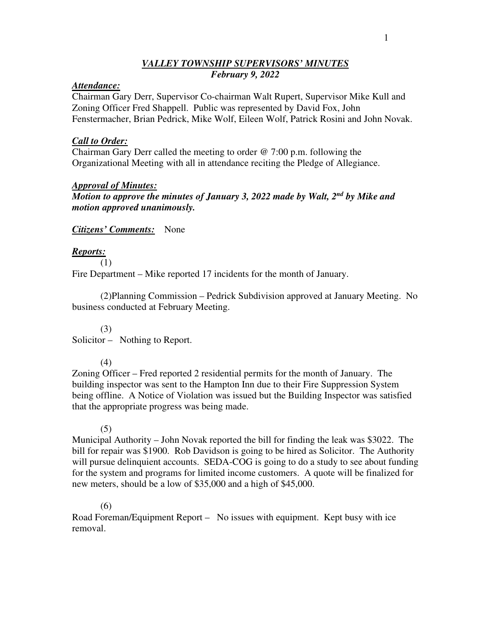### *VALLEY TOWNSHIP SUPERVISORS' MINUTES February 9, 2022*

#### *Attendance:*

Chairman Gary Derr, Supervisor Co-chairman Walt Rupert, Supervisor Mike Kull and Zoning Officer Fred Shappell. Public was represented by David Fox, John Fenstermacher, Brian Pedrick, Mike Wolf, Eileen Wolf, Patrick Rosini and John Novak.

#### *Call to Order:*

Chairman Gary Derr called the meeting to order @ 7:00 p.m. following the Organizational Meeting with all in attendance reciting the Pledge of Allegiance.

#### *Approval of Minutes:*

*Motion to approve the minutes of January 3, 2022 made by Walt, 2nd by Mike and motion approved unanimously.*

*Citizens' Comments:* None

### *Reports:*

(1)

Fire Department – Mike reported 17 incidents for the month of January.

 (2)Planning Commission – Pedrick Subdivision approved at January Meeting. No business conducted at February Meeting.

 (3) Solicitor – Nothing to Report.

#### (4)

Zoning Officer – Fred reported 2 residential permits for the month of January. The building inspector was sent to the Hampton Inn due to their Fire Suppression System being offline. A Notice of Violation was issued but the Building Inspector was satisfied that the appropriate progress was being made.

#### (5)

Municipal Authority – John Novak reported the bill for finding the leak was \$3022. The bill for repair was \$1900. Rob Davidson is going to be hired as Solicitor. The Authority will pursue delinquient accounts. SEDA-COG is going to do a study to see about funding for the system and programs for limited income customers. A quote will be finalized for new meters, should be a low of \$35,000 and a high of \$45,000.

#### (6)

Road Foreman/Equipment Report – No issues with equipment. Kept busy with ice removal.